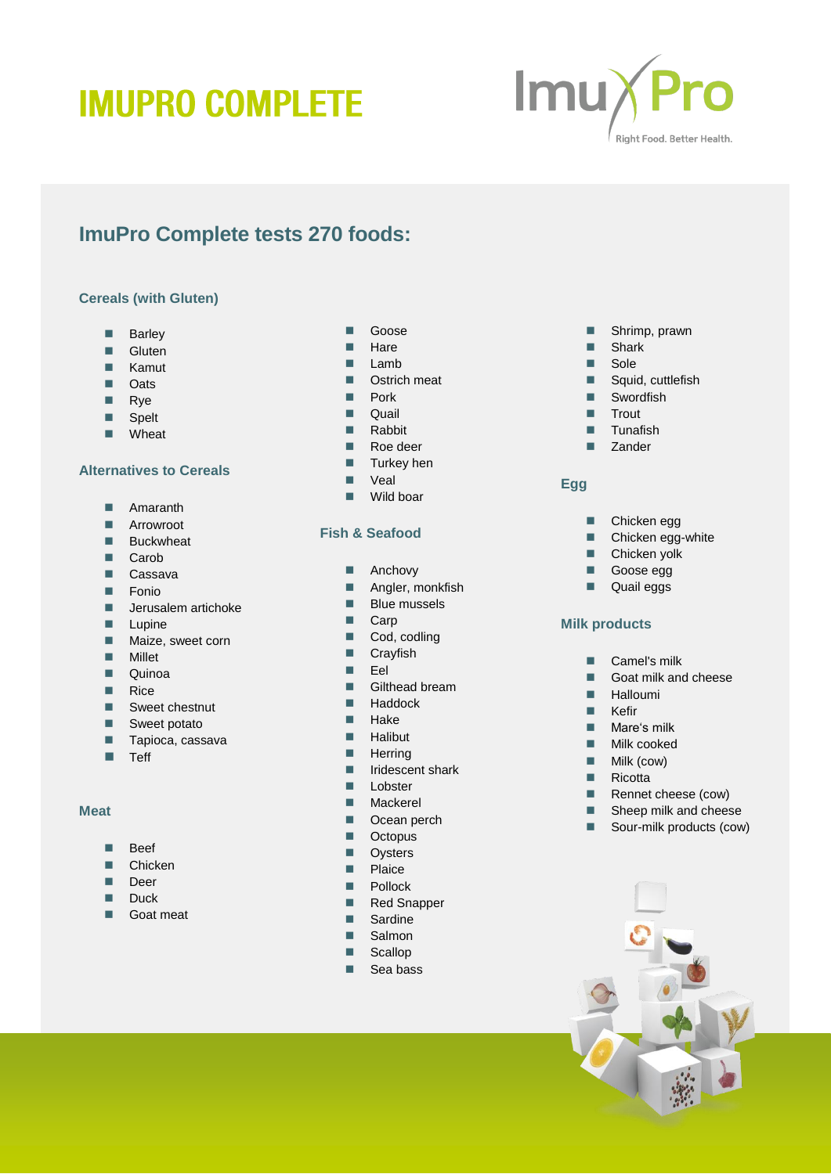# **IMUPRO COMPLETE**



# **ImuPro Complete tests 270 foods:**

## **Cereals (with Gluten)**

- **Barley**
- Gluten
- **Kamut**
- **D** Oats
- **Rye**
- **Spelt**
- **N**Wheat

# **Alternatives to Cereals**

- **Amaranth**
- **Arrowroot**
- **Buckwheat**
- Carob
- Cassava
- **Fonio**
- $\blacksquare$  Jerusalem artichoke
- $L$ upine
- **Maize, sweet corn**
- **Millet**
- **Quinoa**
- **Rice**
- Sweet chestnut
- Sweet potato
- $\blacksquare$  Tapioca, cassava
- $\blacksquare$  Teff

#### **Meat**

- **Beef**
- **Chicken**
- Deer
- Duck
- Goat meat

# **Goose**

- **Hare**
- $Lamb$
- Ostrich meat
- **Pork**
- **Quail**
- **Rabbit**
- Roe deer
- **Turkey hen**
- **N** Veal
- Wild boar

# **Fish & Seafood**

- **Anchovy**
- **Angler, monkfish**
- **Blue mussels**
- Carp
- Cod, codling
- **Crayfish**
- Eel
- **Gilthead bream**
- $H$ addock
- $H$ ake
- $H$ alibut
- **Herring**
- **I** Iridescent shark
- **Lobster**
- **Mackerel**
- Ocean perch
- **Decopus**
- **D** Oysters
- **Plaice**
- **Pollock**
- Red Snapper
- **Sardine**
- Salmon
- Scallop
- $\blacksquare$  Sea bass
- **Shrimp**, prawn
- **B** Shark
- Sole
- Squid, cuttlefish
- Swordfish
- $T$ rout
- $\blacksquare$  Tunafish
- **Zander**

# **Egg**

- **Chicken egg**
- Chicken egg-white
- **Chicken yolk**
- Goose egg
- **Quail eggs**

#### **Milk products**

- Camel's milk
- Goat milk and cheese
- **Halloumi**
- $Kefir$
- **Mare's milk**
- **Milk cooked**
- $\blacksquare$  Milk (cow)
- $\blacksquare$  Ricotta
- Rennet cheese (cow)
- Sheep milk and cheese
- 
- Sour-milk products (cow)

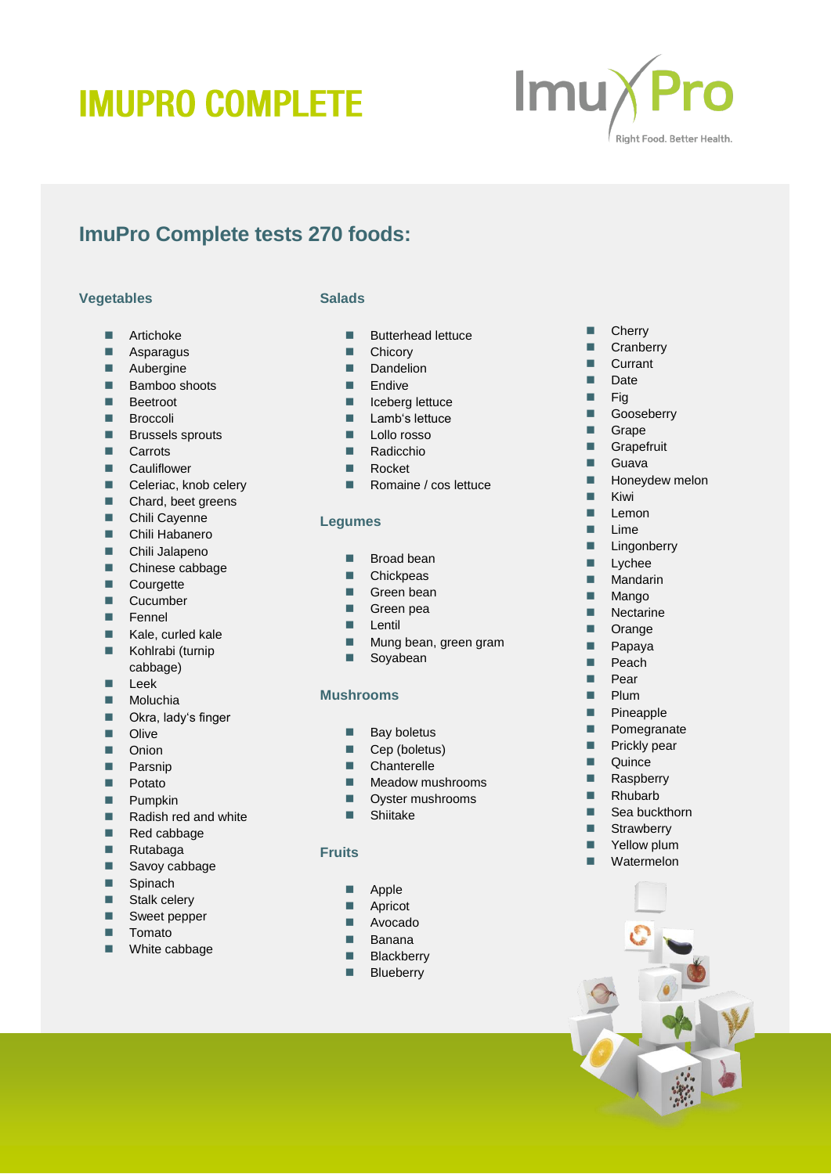# **IMUPRO COMPLETE**



# **ImuPro Complete tests 270 foods:**

## **Vegetables**

- **Artichoke**
- **Asparagus**
- **Aubergine**
- Bamboo shoots
- **Beetroot**
- **Broccoli**
- **Brussels sprouts**
- **Carrots**
- **E** Cauliflower
- Celeriac, knob celery
- Chard, beet greens
- Chili Cayenne
- **Chili Habanero**
- **Chili Jalapeno**
- Chinese cabbage
- **Courgette**
- **Cucumber**
- **Fennel**
- $\blacksquare$  Kale, curled kale
- Kohlrabi (turnip cabbage)
- $Lee$ k
- Moluchia
- Okra, lady's finger
- **Dual** Olive
- **Dec** Onion
- **Parsnip**
- **Potato**
- **Pumpkin**
- Radish red and white
- Red cabbage
- Rutabaga
- Savoy cabbage
- Spinach
- Stalk celery
- Sweet pepper
- **T**omato
- White cabbage

# **Salads**

- **Butterhead lettuce**
- **Chicory**
- Dandelion
- **Endive**
- $\blacksquare$  Iceberg lettuce
- **Lamb's lettuce**
- Lollo rosso
- Radicchio
- Rocket
- Romaine / cos lettuce

## **Legumes**

- Broad bean
- Chickpeas
- Green bean
- Green pea
- **Lentil**
- **Mung bean, green gram**
- Soyabean

# **Mushrooms**

- $\blacksquare$  Bay boletus
- Cep (boletus)
- **Chanterelle**
- 
- **Meadow mushrooms D** Oyster mushrooms
- Shiitake
- 

# **Fruits**

- **Apple**
- **Apricot**
- **Avocado**
- **Banana**
- **Blackberry**
- **Blueberry**

## **Cherry**

- **Cranberry**
- **Currant**
- Date
- $F$ iq
- Gooseberry
- Grape
- Grapefruit
- Guava
- $H$  Honeydew melon
- **Kiwi**
- $L$ emon
- $\blacksquare$  Lime
- **Lingonberry**
- **Lychee**
- **Mandarin**
- **Mango**
- **Nectarine**
- **Drange**
- **Papaya**
- $\blacksquare$  Peach
- **Pear**
- **Plum**

**Quince Raspberry** Rhubarb ■ Sea buckthorn ■ Strawberry **T** Yellow plum **Watermelon** 

- **Pineapple**
- **Pomegranate Prickly pear**